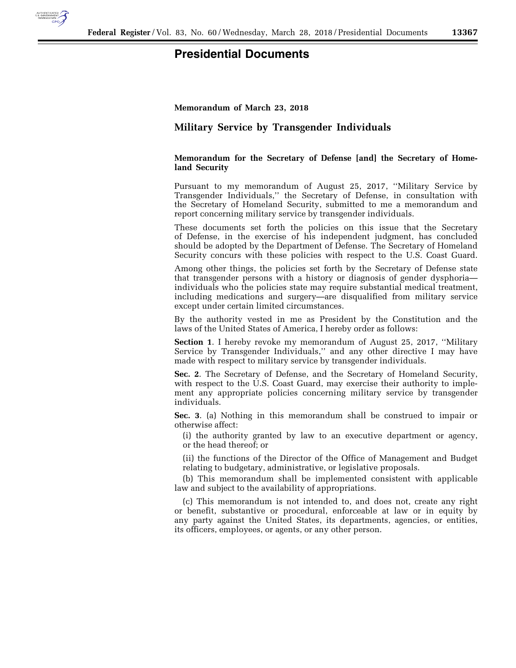

## **Presidential Documents**

**Memorandum of March 23, 2018** 

## **Military Service by Transgender Individuals**

## **Memorandum for the Secretary of Defense [and] the Secretary of Homeland Security**

Pursuant to my memorandum of August 25, 2017, ''Military Service by Transgender Individuals,'' the Secretary of Defense, in consultation with the Secretary of Homeland Security, submitted to me a memorandum and report concerning military service by transgender individuals.

These documents set forth the policies on this issue that the Secretary of Defense, in the exercise of his independent judgment, has concluded should be adopted by the Department of Defense. The Secretary of Homeland Security concurs with these policies with respect to the U.S. Coast Guard.

Among other things, the policies set forth by the Secretary of Defense state that transgender persons with a history or diagnosis of gender dysphoria individuals who the policies state may require substantial medical treatment, including medications and surgery—are disqualified from military service except under certain limited circumstances.

By the authority vested in me as President by the Constitution and the laws of the United States of America, I hereby order as follows:

**Section 1**. I hereby revoke my memorandum of August 25, 2017, ''Military Service by Transgender Individuals,'' and any other directive I may have made with respect to military service by transgender individuals.

**Sec. 2**. The Secretary of Defense, and the Secretary of Homeland Security, with respect to the U.S. Coast Guard, may exercise their authority to implement any appropriate policies concerning military service by transgender individuals.

**Sec. 3**. (a) Nothing in this memorandum shall be construed to impair or otherwise affect:

(i) the authority granted by law to an executive department or agency, or the head thereof; or

(ii) the functions of the Director of the Office of Management and Budget relating to budgetary, administrative, or legislative proposals.

(b) This memorandum shall be implemented consistent with applicable law and subject to the availability of appropriations.

(c) This memorandum is not intended to, and does not, create any right or benefit, substantive or procedural, enforceable at law or in equity by any party against the United States, its departments, agencies, or entities, its officers, employees, or agents, or any other person.